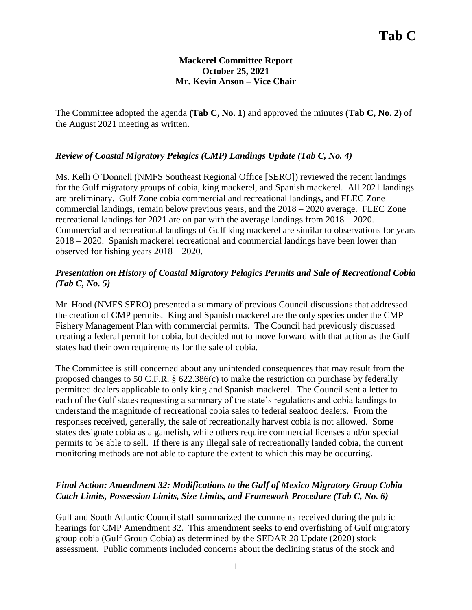## **Mackerel Committee Report October 25, 2021 Mr. Kevin Anson – Vice Chair**

The Committee adopted the agenda **(Tab C, No. 1)** and approved the minutes **(Tab C, No. 2)** of the August 2021 meeting as written.

## *Review of Coastal Migratory Pelagics (CMP) Landings Update (Tab C, No. 4)*

Ms. Kelli O'Donnell (NMFS Southeast Regional Office [SERO]) reviewed the recent landings for the Gulf migratory groups of cobia, king mackerel, and Spanish mackerel. All 2021 landings are preliminary. Gulf Zone cobia commercial and recreational landings, and FLEC Zone commercial landings, remain below previous years, and the 2018 – 2020 average. FLEC Zone recreational landings for 2021 are on par with the average landings from 2018 – 2020. Commercial and recreational landings of Gulf king mackerel are similar to observations for years 2018 – 2020. Spanish mackerel recreational and commercial landings have been lower than observed for fishing years 2018 – 2020.

## *Presentation on History of Coastal Migratory Pelagics Permits and Sale of Recreational Cobia (Tab C, No. 5)*

Mr. Hood (NMFS SERO) presented a summary of previous Council discussions that addressed the creation of CMP permits. King and Spanish mackerel are the only species under the CMP Fishery Management Plan with commercial permits. The Council had previously discussed creating a federal permit for cobia, but decided not to move forward with that action as the Gulf states had their own requirements for the sale of cobia.

The Committee is still concerned about any unintended consequences that may result from the proposed changes to 50 C.F.R. § 622.386(c) to make the restriction on purchase by federally permitted dealers applicable to only king and Spanish mackerel. The Council sent a letter to each of the Gulf states requesting a summary of the state's regulations and cobia landings to understand the magnitude of recreational cobia sales to federal seafood dealers. From the responses received, generally, the sale of recreationally harvest cobia is not allowed. Some states designate cobia as a gamefish, while others require commercial licenses and/or special permits to be able to sell. If there is any illegal sale of recreationally landed cobia, the current monitoring methods are not able to capture the extent to which this may be occurring.

# *Final Action: Amendment 32: Modifications to the Gulf of Mexico Migratory Group Cobia Catch Limits, Possession Limits, Size Limits, and Framework Procedure (Tab C, No. 6)*

Gulf and South Atlantic Council staff summarized the comments received during the public hearings for CMP Amendment 32. This amendment seeks to end overfishing of Gulf migratory group cobia (Gulf Group Cobia) as determined by the SEDAR 28 Update (2020) stock assessment. Public comments included concerns about the declining status of the stock and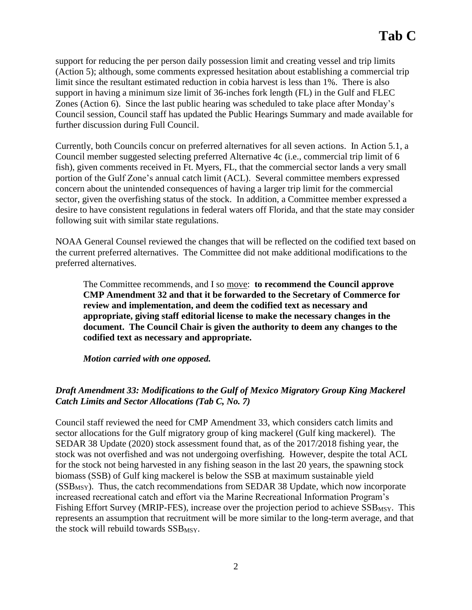support for reducing the per person daily possession limit and creating vessel and trip limits (Action 5); although, some comments expressed hesitation about establishing a commercial trip limit since the resultant estimated reduction in cobia harvest is less than 1%. There is also support in having a minimum size limit of 36-inches fork length (FL) in the Gulf and FLEC Zones (Action 6). Since the last public hearing was scheduled to take place after Monday's Council session, Council staff has updated the Public Hearings Summary and made available for further discussion during Full Council.

Currently, both Councils concur on preferred alternatives for all seven actions. In Action 5.1, a Council member suggested selecting preferred Alternative 4c (i.e., commercial trip limit of 6 fish), given comments received in Ft. Myers, FL, that the commercial sector lands a very small portion of the Gulf Zone's annual catch limit (ACL). Several committee members expressed concern about the unintended consequences of having a larger trip limit for the commercial sector, given the overfishing status of the stock. In addition, a Committee member expressed a desire to have consistent regulations in federal waters off Florida, and that the state may consider following suit with similar state regulations.

NOAA General Counsel reviewed the changes that will be reflected on the codified text based on the current preferred alternatives. The Committee did not make additional modifications to the preferred alternatives.

The Committee recommends, and I so move: **to recommend the Council approve CMP Amendment 32 and that it be forwarded to the Secretary of Commerce for review and implementation, and deem the codified text as necessary and appropriate, giving staff editorial license to make the necessary changes in the document. The Council Chair is given the authority to deem any changes to the codified text as necessary and appropriate.**

*Motion carried with one opposed.*

# *Draft Amendment 33: Modifications to the Gulf of Mexico Migratory Group King Mackerel Catch Limits and Sector Allocations (Tab C, No. 7)*

Council staff reviewed the need for CMP Amendment 33, which considers catch limits and sector allocations for the Gulf migratory group of king mackerel (Gulf king mackerel). The SEDAR 38 Update (2020) stock assessment found that, as of the 2017/2018 fishing year, the stock was not overfished and was not undergoing overfishing. However, despite the total ACL for the stock not being harvested in any fishing season in the last 20 years, the spawning stock biomass (SSB) of Gulf king mackerel is below the SSB at maximum sustainable yield  $(SSB<sub>MSY</sub>)$ . Thus, the catch recommendations from SEDAR 38 Update, which now incorporate increased recreational catch and effort via the Marine Recreational Information Program's Fishing Effort Survey (MRIP-FES), increase over the projection period to achieve SSB<sub>MSY</sub>. This represents an assumption that recruitment will be more similar to the long-term average, and that the stock will rebuild towards  $SSB$ <sub>MSY</sub>.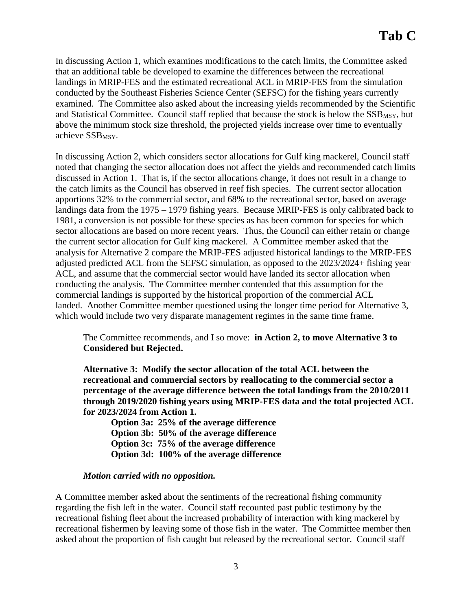In discussing Action 1, which examines modifications to the catch limits, the Committee asked that an additional table be developed to examine the differences between the recreational landings in MRIP-FES and the estimated recreational ACL in MRIP-FES from the simulation conducted by the Southeast Fisheries Science Center (SEFSC) for the fishing years currently examined. The Committee also asked about the increasing yields recommended by the Scientific and Statistical Committee. Council staff replied that because the stock is below the SSB<sub>MSY</sub>, but above the minimum stock size threshold, the projected yields increase over time to eventually achieve SSB<sub>MSY</sub>.

In discussing Action 2, which considers sector allocations for Gulf king mackerel, Council staff noted that changing the sector allocation does not affect the yields and recommended catch limits discussed in Action 1. That is, if the sector allocations change, it does not result in a change to the catch limits as the Council has observed in reef fish species. The current sector allocation apportions 32% to the commercial sector, and 68% to the recreational sector, based on average landings data from the 1975 – 1979 fishing years. Because MRIP-FES is only calibrated back to 1981, a conversion is not possible for these species as has been common for species for which sector allocations are based on more recent years. Thus, the Council can either retain or change the current sector allocation for Gulf king mackerel. A Committee member asked that the analysis for Alternative 2 compare the MRIP-FES adjusted historical landings to the MRIP-FES adjusted predicted ACL from the SEFSC simulation, as opposed to the 2023/2024+ fishing year ACL, and assume that the commercial sector would have landed its sector allocation when conducting the analysis. The Committee member contended that this assumption for the commercial landings is supported by the historical proportion of the commercial ACL landed. Another Committee member questioned using the longer time period for Alternative 3, which would include two very disparate management regimes in the same time frame.

# The Committee recommends, and I so move: **in Action 2, to move Alternative 3 to Considered but Rejected.**

**Alternative 3: Modify the sector allocation of the total ACL between the recreational and commercial sectors by reallocating to the commercial sector a percentage of the average difference between the total landings from the 2010/2011 through 2019/2020 fishing years using MRIP-FES data and the total projected ACL for 2023/2024 from Action 1.** 

**Option 3a: 25% of the average difference Option 3b: 50% of the average difference Option 3c: 75% of the average difference Option 3d: 100% of the average difference**

#### *Motion carried with no opposition.*

A Committee member asked about the sentiments of the recreational fishing community regarding the fish left in the water. Council staff recounted past public testimony by the recreational fishing fleet about the increased probability of interaction with king mackerel by recreational fishermen by leaving some of those fish in the water. The Committee member then asked about the proportion of fish caught but released by the recreational sector. Council staff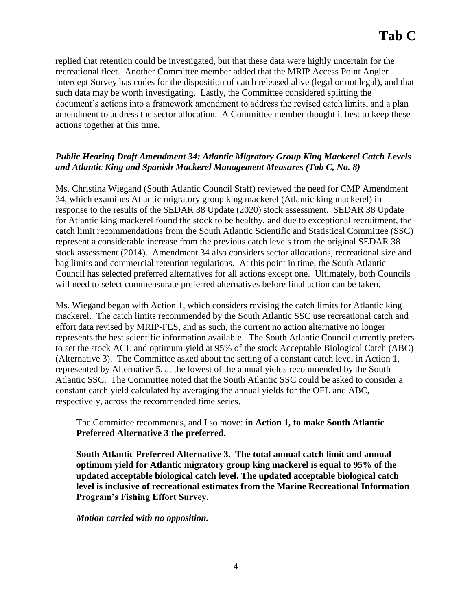replied that retention could be investigated, but that these data were highly uncertain for the recreational fleet. Another Committee member added that the MRIP Access Point Angler Intercept Survey has codes for the disposition of catch released alive (legal or not legal), and that such data may be worth investigating. Lastly, the Committee considered splitting the document's actions into a framework amendment to address the revised catch limits, and a plan amendment to address the sector allocation. A Committee member thought it best to keep these actions together at this time.

## *Public Hearing Draft Amendment 34: Atlantic Migratory Group King Mackerel Catch Levels and Atlantic King and Spanish Mackerel Management Measures (Tab C, No. 8)*

Ms. Christina Wiegand (South Atlantic Council Staff) reviewed the need for CMP Amendment 34, which examines Atlantic migratory group king mackerel (Atlantic king mackerel) in response to the results of the SEDAR 38 Update (2020) stock assessment. SEDAR 38 Update for Atlantic king mackerel found the stock to be healthy, and due to exceptional recruitment, the catch limit recommendations from the South Atlantic Scientific and Statistical Committee (SSC) represent a considerable increase from the previous catch levels from the original SEDAR 38 stock assessment (2014). Amendment 34 also considers sector allocations, recreational size and bag limits and commercial retention regulations. At this point in time, the South Atlantic Council has selected preferred alternatives for all actions except one. Ultimately, both Councils will need to select commensurate preferred alternatives before final action can be taken.

Ms. Wiegand began with Action 1, which considers revising the catch limits for Atlantic king mackerel. The catch limits recommended by the South Atlantic SSC use recreational catch and effort data revised by MRIP-FES, and as such, the current no action alternative no longer represents the best scientific information available. The South Atlantic Council currently prefers to set the stock ACL and optimum yield at 95% of the stock Acceptable Biological Catch (ABC) (Alternative 3). The Committee asked about the setting of a constant catch level in Action 1, represented by Alternative 5, at the lowest of the annual yields recommended by the South Atlantic SSC. The Committee noted that the South Atlantic SSC could be asked to consider a constant catch yield calculated by averaging the annual yields for the OFL and ABC, respectively, across the recommended time series.

The Committee recommends, and I so move: **in Action 1, to make South Atlantic Preferred Alternative 3 the preferred.** 

**South Atlantic Preferred Alternative 3. The total annual catch limit and annual optimum yield for Atlantic migratory group king mackerel is equal to 95% of the updated acceptable biological catch level. The updated acceptable biological catch level is inclusive of recreational estimates from the Marine Recreational Information Program's Fishing Effort Survey.**

*Motion carried with no opposition.*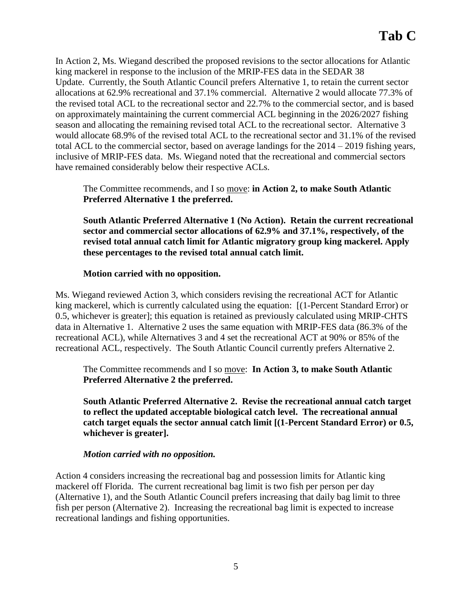In Action 2, Ms. Wiegand described the proposed revisions to the sector allocations for Atlantic king mackerel in response to the inclusion of the MRIP-FES data in the SEDAR 38 Update. Currently, the South Atlantic Council prefers Alternative 1, to retain the current sector allocations at 62.9% recreational and 37.1% commercial. Alternative 2 would allocate 77.3% of the revised total ACL to the recreational sector and 22.7% to the commercial sector, and is based on approximately maintaining the current commercial ACL beginning in the 2026/2027 fishing season and allocating the remaining revised total ACL to the recreational sector. Alternative 3 would allocate 68.9% of the revised total ACL to the recreational sector and 31.1% of the revised total ACL to the commercial sector, based on average landings for the 2014 – 2019 fishing years, inclusive of MRIP-FES data. Ms. Wiegand noted that the recreational and commercial sectors have remained considerably below their respective ACLs.

The Committee recommends, and I so move: **in Action 2, to make South Atlantic Preferred Alternative 1 the preferred.** 

**South Atlantic Preferred Alternative 1 (No Action). Retain the current recreational sector and commercial sector allocations of 62.9% and 37.1%, respectively, of the revised total annual catch limit for Atlantic migratory group king mackerel. Apply these percentages to the revised total annual catch limit.**

#### **Motion carried with no opposition.**

Ms. Wiegand reviewed Action 3, which considers revising the recreational ACT for Atlantic king mackerel, which is currently calculated using the equation: [(1-Percent Standard Error) or 0.5, whichever is greater]; this equation is retained as previously calculated using MRIP-CHTS data in Alternative 1. Alternative 2 uses the same equation with MRIP-FES data (86.3% of the recreational ACL), while Alternatives 3 and 4 set the recreational ACT at 90% or 85% of the recreational ACL, respectively. The South Atlantic Council currently prefers Alternative 2.

The Committee recommends and I so move: **In Action 3, to make South Atlantic Preferred Alternative 2 the preferred.** 

**South Atlantic Preferred Alternative 2. Revise the recreational annual catch target to reflect the updated acceptable biological catch level. The recreational annual catch target equals the sector annual catch limit [(1-Percent Standard Error) or 0.5, whichever is greater].**

#### *Motion carried with no opposition.*

Action 4 considers increasing the recreational bag and possession limits for Atlantic king mackerel off Florida. The current recreational bag limit is two fish per person per day (Alternative 1), and the South Atlantic Council prefers increasing that daily bag limit to three fish per person (Alternative 2). Increasing the recreational bag limit is expected to increase recreational landings and fishing opportunities.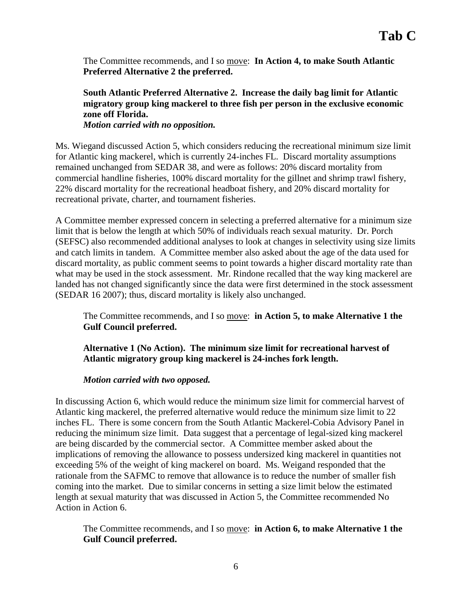The Committee recommends, and I so move: **In Action 4, to make South Atlantic Preferred Alternative 2 the preferred.** 

**South Atlantic Preferred Alternative 2. Increase the daily bag limit for Atlantic migratory group king mackerel to three fish per person in the exclusive economic zone off Florida.** *Motion carried with no opposition.* 

Ms. Wiegand discussed Action 5, which considers reducing the recreational minimum size limit for Atlantic king mackerel, which is currently 24-inches FL. Discard mortality assumptions remained unchanged from SEDAR 38, and were as follows: 20% discard mortality from commercial handline fisheries, 100% discard mortality for the gillnet and shrimp trawl fishery, 22% discard mortality for the recreational headboat fishery, and 20% discard mortality for recreational private, charter, and tournament fisheries.

A Committee member expressed concern in selecting a preferred alternative for a minimum size limit that is below the length at which 50% of individuals reach sexual maturity. Dr. Porch (SEFSC) also recommended additional analyses to look at changes in selectivity using size limits and catch limits in tandem. A Committee member also asked about the age of the data used for discard mortality, as public comment seems to point towards a higher discard mortality rate than what may be used in the stock assessment. Mr. Rindone recalled that the way king mackerel are landed has not changed significantly since the data were first determined in the stock assessment (SEDAR 16 2007); thus, discard mortality is likely also unchanged.

The Committee recommends, and I so move: **in Action 5, to make Alternative 1 the Gulf Council preferred.** 

**Alternative 1 (No Action). The minimum size limit for recreational harvest of Atlantic migratory group king mackerel is 24-inches fork length.**

*Motion carried with two opposed.* 

In discussing Action 6, which would reduce the minimum size limit for commercial harvest of Atlantic king mackerel, the preferred alternative would reduce the minimum size limit to 22 inches FL. There is some concern from the South Atlantic Mackerel-Cobia Advisory Panel in reducing the minimum size limit. Data suggest that a percentage of legal-sized king mackerel are being discarded by the commercial sector. A Committee member asked about the implications of removing the allowance to possess undersized king mackerel in quantities not exceeding 5% of the weight of king mackerel on board. Ms. Weigand responded that the rationale from the SAFMC to remove that allowance is to reduce the number of smaller fish coming into the market. Due to similar concerns in setting a size limit below the estimated length at sexual maturity that was discussed in Action 5, the Committee recommended No Action in Action 6.

The Committee recommends, and I so move: **in Action 6, to make Alternative 1 the Gulf Council preferred.**